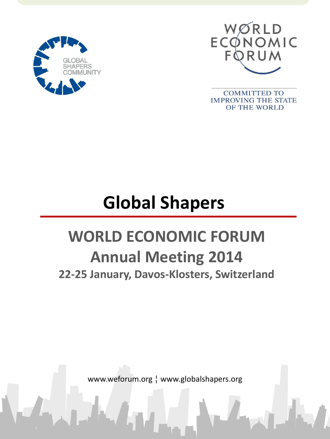



**COMMITTED TO IMPROVING THE STATE** OF THE WORLD

# **Global Shapers**

# **WORLD ECONOMIC FORUM Annual Meeting 2014 22-25 January, Davos-Klosters, Switzerland**

www.weforum.org ¦ www.globalshapers.org

ww.weforum.org ¦¦ www.globalshapers.org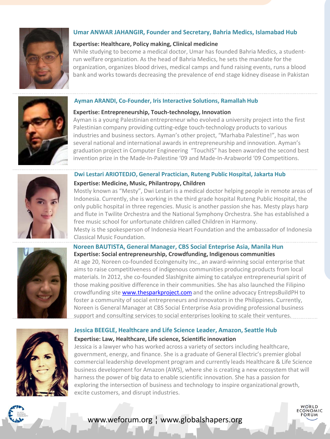

# **Umar ANWAR JAHANGIR, Founder and Secretary, Bahria Medics, Islamabad Hub**

#### **Expertise: Healthcare, Policy making, Clinical medicine**

While studying to become a medical doctor, Umar has founded Bahria Medics, a studentrun welfare organization. As the head of Bahria Medics, he sets the mandate for the organization, organizes blood drives, medical camps and fund raising events, runs a blood bank and works towards decreasing the prevalence of end stage kidney disease in Pakistan



#### **Ayman ARANDI, Co-Founder, Iris Interactive Solutions, Ramallah Hub**

#### **Expertise: Entrepreneurship, Touch-technology, Innovation**

Ayman is a young Palestinian entrepreneur who evolved a university project into the first Palestinian company providing cutting-edge touch-technology products to various industries and business sectors. Ayman's other project, "Marhaba Palestine!", has won several national and international awards in entrepreneurship and innovation. Ayman's graduation project in Computer Engineering "TouchIS" has been awarded the second best invention prize in the Made-In-Palestine '09 and Made-In-Arabworld '09 Competitions.



#### **Dwi Lestari ARIOTEDJO, General Practician, Ruteng Public Hospital, Jakarta Hub**

#### **Expertise: Medicine, Music, Philantropy, Children**

Mostly known as "Mesty", Dwi Lestari is a medical doctor helping people in remote areas of Indonesia. Currently, she is working in the third grade hospital Ruteng Public Hospital, the only public hospital in three regencies. Music is another passion she has. Mesty plays harp and flute in Twilite Orchestra and the National Symphony Orchestra. She has established a free music school for unfortunate children called Children in Harmony.

Mesty is the spokesperson of Indonesia Heart Foundation and the ambassador of Indonesia Classical Music Foundation.

#### **Noreen BAUTISTA, General Manager, CBS Social Enteprise Asia, Manila Hun Expertise: Social entrepreneurship, Crowdfunding, Indigenous communities**

At age 20, Noreen co-founded EcoIngenuity Inc., an award-winning social enterprise that aims to raise competitiveness of indigenous communities producing products from local materials. In 2012, she co-founded SlashIgnite aiming to catalyze entrepreneurial spirit of those making positive difference in their communities. She has also launched the Filipino crowdfunding site [www.thesparkproject.com](http://www.thesparkproject.com/) and the online advocacy EntrepsBuildPH to foster a community of social entrepreneurs and innovators in the Philippines. Currently, Noreen is General Manager at CBS Social Enterprise Asia providing professional business support and consulting services to social enterprises looking to scale their ventures.

# **Jessica BEEGLE, Healthcare and Life Science Leader, Amazon, Seattle Hub Expertise: Law, Healthcare, Life science, Scientific innovation**

Jessica is a lawyer who has worked across a variety of sectors including healthcare, government, energy, and finance. She is a graduate of General Electric's premier global commercial leadership development program and currently leads Healthcare & Life Science business development for Amazon (AWS), where she is creating a new ecosystem that will harness the power of big data to enable scientific innovation. She has a passion for exploring the intersection of business and technology to inspire organizational growth, excite customers, and disrupt industries.

> WØRLD **FCONOMIC**

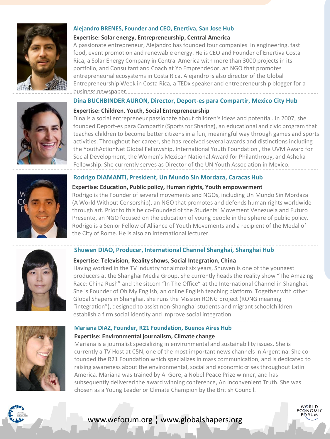

#### **Alejandro BRENES, Founder and CEO, Enertiva, San Jose Hub**

#### **Expertise: Solar energy, Entrepreneurship, Central America**

A passionate entrepreneur, Alejandro has founded four companies in engineering, fast food, event promotion and renewable energy. He is CEO and Founder of Enertiva Costa Rica, a Solar Energy Company in Central America with more than 3000 projects in its portfolio, and Consultant and Coach at Yo Emprendedor, an NGO that promotes entrepreneurial ecosystems in Costa Rica. Alejandro is also director of the Global Entrepreneurship Week in Costa Rica, a TEDx speaker and entrepreneurship blogger for a business newspaper.

#### **Dina BUCHBINDER AURON, Director, Deport-es para Compartir, Mexico City Hub**



Dina is a social entrepreneur passionate about children's ideas and potential. In 2007, she founded Deport-es para Compartir (Sports for Sharing), an educational and civic program that teaches children to become better citizens in a fun, meaningful way through games and sports activities. Throughout her career, she has received several awards and distinctions including the YouthActionNet Global Fellowship, International Youth Foundation , the UVM Award for Social Development, the Women's Mexican National Award for Philanthropy, and Ashoka Fellowship. She currently serves as Director of the UN Youth Association in Mexico.



# **Rodrigo DIAMANTI, President, Un Mundo Sin Mordaza, Caracas Hub**

#### **Expertise: Education, Public policy, Human rights, Youth empowerment**

Rodrigo is the Founder of several movements and NGOs, including Un Mundo Sin Mordaza (A World Without Censorship), an NGO that promotes and defends human rights worldwide through art. Prior to this he co-Founded of the Students' Movement Venezuela and Futuro Presente, an NGO focused on the education of young people in the sphere of public policy. Rodrigo is a Senior Fellow of Alliance of Youth Movements and a recipient of the Medal of the City of Rome. He is also an international lecturer.



# **Shuwen DIAO, Producer, International Channel Shanghai, Shanghai Hub**

#### **Expertise: Television, Reality shows, Social Integration, China**

Having worked in the TV industry for almost six years, Shuwen is one of the youngest producers at the Shanghai Media Group. She currently heads the reality show "The Amazing Race: China Rush" and the sitcom "In The Office" at the International Channel in Shanghai. She is Founder of Oh My English, an online English teaching platform. Together with other Global Shapers in Shanghai, she runs the Mission RONG project (RONG meaning "integration"), designed to assist non-Shanghai students and migrant schoolchildren establish a firm social identity and improve social integration.



## **Mariana DIAZ, Founder, R21 Foundation, Buenos Aires Hub**

## **Expertise: Environmental journalism, Climate change**

Mariana is a journalist specializing in environmental and sustainability issues. She is currently a TV Host at C5N, one of the most important news channels in Argentina. She cofounded the R21 Foundation which specializes in mass communication, and is dedicated to raising awareness about the environmental, social and economic crises throughout Latin America. Mariana was trained by Al Gore, a Nobel Peace Prize winner, and has subsequently delivered the award winning conference, An Inconvenient Truth. She was chosen as a Young Leader or Climate Champion by the British Council.

> WØRLD **FCONOMIC**

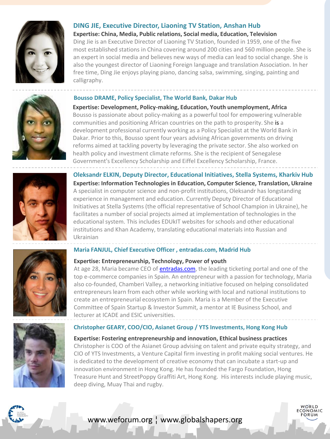

# **DING JIE, Executive Director, Liaoning TV Station, Anshan Hub**

**Expertise: China, Media, Public relations, Social media, Education, Television** Ding Jie is an Executive Director of Liaoning TV Station, founded in 1959, one of the five most established stations in China covering around 200 cities and 560 million people. She is an expert in social media and believes new ways of media can lead to social change. She is also the youngest director of Liaoning Foreign language and translation Association. In her free time, Ding Jie enjoys playing piano, dancing salsa, swimming, singing, painting and calligraphy.

#### **Bousso DRAME, Policy Specialist, The World Bank, Dakar Hub**



**Expertise: Development, Policy-making, Education, Youth unemployment, Africa** Bousso is passionate about policy-making as a powerful tool for empowering vulnerable communities and positioning African countries on the path to prosperity. She is a development professional currently working as a Policy Specialist at the World Bank in Dakar. Prior to this, Bousso spent four years advising African governments on driving reforms aimed at tackling poverty by leveraging the private sector. She also worked on health policy and investment climate reforms. She is the recipient of Senegalese Government's Excellency Scholarship and Eiffel Excellency Scholarship, France.



**Oleksandr ELKIN, Deputy Director, Educational Initiatives, Stella Systems, Kharkiv Hub Expertise: Information Technologies in Education, Computer Science, Translation, Ukraine** A specialist in computer science and non-profit institutions, Oleksandr has longstanding experience in management and education. Currently Deputy Director of Educational Initiatives at Stella Systems (the official representative of School Champion in Ukraine), he facilitates a number of social projects aimed at implementation of technologies in the educational system. This includes EDUkIT websites for schools and other educational institutions and Khan Academy, translating educational materials into Russian and Ukrainian

#### **Maria FANJUL, Chief Executive Officer , entradas.com, Madrid Hub**

#### **Expertise: Entrepreneurship, Technology, Power of youth**

At age 28, Maria became CEO of [entradas.com,](http://entradas.com/) the leading ticketing portal and one of the top e-commerce companies in Spain. An entrepreneur with a passion for technology, Maria also co-founded, Chamberi Valley, a networking initiative focused on helping consolidated entrepreneurs learn from each other while working with local and national institutions to create an entrepreneurial ecosystem in Spain. Maria is a Member of the Executive Committee of Spain Startup & Investor Summit, a mentor at IE Business School, and lecturer at ICADE and ESIC universities.

#### **Christopher GEARY, COO/CIO, Asianet Group / YTS Investments, Hong Kong Hub**

**Expertise: Fostering entrepreneurship and innovation, Ethical business practices** Christopher is COO of the Asianet Group advising on talent and private equity strategy, and CIO of YTS Investments, a Venture Capital firm investing in profit making social ventures. He is dedicated to the development of creative economy that can incubate a start-up and innovation environment in Hong Kong. He has founded the Fargo Foundation, Hong Treasure Hunt and StreetPoppy Graffiti Art, Hong Kong. His interests include playing music, deep diving, Muay Thai and rugby.

> WØRLD **FCONOMIC**





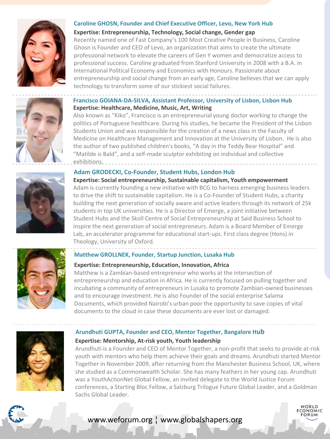



#### **Expertise: Entrepreneurship, Technology, Social change, Gender gap**

Recently named one of Fast Company's 100 Most Creative People in Business, Caroline Ghosn is Founder and CEO of Levo, an organization that aims to create the ultimate professional network to elevate the careers of Gen Y women and democratize access to professional success. Caroline graduated from Stanford University in 2008 with a B.A. in International Political Economy and Economics with Honours. Passionate about entrepreneurship and social change from an early age, Caroline believes that we can apply technology to transform some of our stickiest social failures.



#### **Francisco GOIANA-DA-SILVA, Assistant Professor, University of Lisbon, Lisbon Hub Expertise: Healthcare, Medicine, Music, Art, Writing**

Also known as "Kiko", Francisco is an entrepreneurial young doctor working to change the politics of Portuguese healthcare. During his studies, he became the President of the Lisbon Students Union and was responsible for the creation of a news class in the Faculty of Medicine on Healthcare Management and Innovation at the University of Lisbon. He is also the author of two published children's books, "A day in the Teddy Bear Hospital" and "Matilde is Bald", and a self-made sculptor exhibiting on individual and collective exhibitions.

#### **Adam GRODECKI, Co-Founder, Student Hubs, London Hub**

**Expertise: Social entrepreneurship, Sustainable capitalism, Youth empowerment** Adam is currently founding a new initiative with BCG to harness emerging business leaders to drive the shift to sustainable capitalism. He is a Co-Founder of Student Hubs, a charity building the next generation of socially aware and active leaders through its network of 25k students in top UK universities. He is a Director of Emerge, a joint initiative between Student Hubs and the Skoll Centre of Social Entrepreneurship at Said Business School to inspire the next generation of social entrepreneurs. Adam is a Board Member of Emerge Lab, an accelerator programme for educational start-ups. First class degree (Hons) in Theology, University of Oxford.



#### . **Matthew GROLLNEK, Founder, Startup Junction, Lusaka Hub**

#### **Expertise: Entrepreneurship, Education, Innovation, Africa**

Matthew is a Zambian-based entrepreneur who works at the intersection of entrepreneurship and education in Africa. He is currently focused on pulling together and incubating a community of entrepreneurs in Lusaka to promote Zambian-owned businesses and to encourage investment. He is also Founder of the social enterprise Salama Documents, which provided Nairobi's urban poor the opportunity to save copies of vital documents to the cloud in case these documents are ever lost or damaged.

#### **Arundhuti GUPTA, Founder and CEO, Mentor Together, Bangalore Hub**



#### **Expertise: Mentorship, At-risk youth, Youth leadership**

Arundhuti is a Founder and CEO of Mentor Together, a non-profit that seeks to provide at-risk youth with mentors who help them achieve their goals and dreams. Arundhuti started Mentor Together in November 2009, after returning from the Manchester Business School, UK, where she studied as a Commonwealth Scholar. She has many feathers in her young cap. Arundhuti was a YouthActionNet Global Fellow, an invited delegate to the World Justice Forum conferences, a Starting Bloc Fellow, a Salzburg Trilogue Future Global Leader, and a Goldman Sachs Global Leader.

> WØRLD  $FCONOMIC$

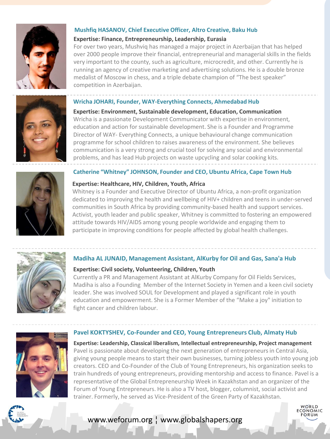

#### **Mushfiq HASANOV, Chief Executive Officer, Altro Creative, Baku Hub**

#### **Expertise: Finance, Entrepreneurship, Leadership, Eurasia**

For over two years, Mushviq has managed a major project in Azerbaijan that has helped over 2000 people improve their financial, entrepreneurial and managerial skills in the fields very important to the county, such as agriculture, microcredit, and other. Currently he is running an agency of creative marketing and advertising solutions. He is a double bronze medalist of Moscow in chess, and a triple debate champion of "The best speaker" competition in Azerbaijan.

#### **Wricha JOHARI, Founder, WAY-Everything Connects, Ahmedabad Hub**



**Expertise: Environment, Sustainable development, Education, Communication** Wricha is a passionate Development Communicator with expertise in environment, education and action for sustainable development. She is a Founder and Programme Director of WAY- Everything Connects, a unique behavioural change communication programme for school children to raises awareness of the environment. She believes communication is a very strong and crucial tool for solving any social and environmental problems, and has lead Hub projects on waste upcycling and solar cooking kits.

#### **Catherine "Whitney" JOHNSON, Founder and CEO, Ubuntu Africa, Cape Town Hub**

#### **Expertise: Healthcare, HIV, Children, Youth, Africa**

Whitney is a Founder and Executive Director of Ubuntu Africa, a non-profit organization dedicated to improving the health and wellbeing of HIV+ children and teens in under-served communities in South Africa by providing community-based health and support services. Activist, youth leader and public speaker, Whitney is committed to fostering an empowered attitude towards HIV/AIDS among young people worldwide and engaging them to participate in improving conditions for people affected by global health challenges.



#### **Madiha AL JUNAID, Management Assistant, AlKurby for Oil and Gas, Sana'a Hub**

#### **Expertise: Civil society, Volunteering, Children, Youth**

Currently a PR and Management Assistant at AlKurby Company for Oil Fields Services, Madiha is also a Founding Member of the Internet Society in Yemen and a keen civil society leader. She was involved SOUL for Development and played a significant role in youth education and empowerment. She is a Former Member of the "Make a joy" initiation to fight cancer and children labour.

#### **Pavel KOKTYSHEV, Co-Founder and CEO, Young Entrepreneurs Club, Almaty Hub**



**Expertise: Leadership, Classical liberalism, Intellectual entrepreneurship, Project management**  Pavel is passionate about developing the next generation of entrepreneurs in Central Asia, giving young people means to start their own businesses, turning jobless youth into young job creators. CEO and Co-Founder of the Club of Young Entrepreneurs, his organization seeks to train hundreds of young entrepreneurs, providing mentorship and access to finance. Pavel is a representative of the Global Entrepreneurship Week in Kazakhstan and an organizer of the Forum of Young Entrepreneurs. He is also a TV host, blogger, columnist, social activist and trainer. Formerly, he served as Vice-President of the Green Party of Kazakhstan.

**FCONOMIC** 

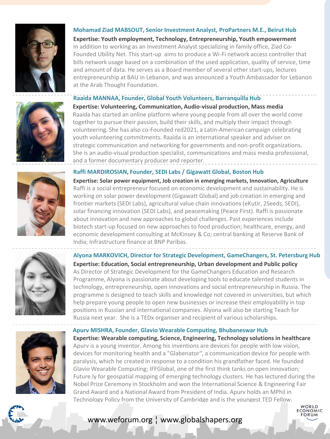

#### **Mohamad Ziad MABSOUT, Senior Investment Analyst, ProPartners M.E., Beirut Hub**

**Expertise: Youth employment, Technology, Entrepreneurship, Youth empowerment** In addition to working as an Investment Analyst specializing in family office, Ziad Co-Founded Ubility Net. This start-up aims to produce a Wi-Fi network access controller that bills network usage based on a combination of the used application, quality of service, time and amount of data. He serves as a Board member of several other start-ups, lectures entrepreneurship at BAU in Lebanon, and was announced a Youth Ambassador for Lebanon at the Arab Thought Foundation.

#### **Raaida MANNAA, Founder, Global Youth Volunteers, Barranquilla Hub**



**Expertise: Volunteering, Communication, Audio-visual production, Mass media** Raaida has started an online platform where young people from all over the world come together to pursue their passion, build their skills, and multiply their impact through volunteering. She has also co-Founded red2021, a Latin-American campaign celebrating youth volunteering commitments. Raaida is an international speaker and adviser on strategic communication and networking for governments and non-profit organizations. She is an audio-visual production specialist, communications and mass media professional, and a former documentary producer and reporter.

# **Raffi MARDIROSIAN, Founder, SEDI Labs / Gigawatt Global, Boston Hub**

**Expertise: Solar power equipment, Job creation in emerging markets, Innovation, Agriculture** Raffi is a social entrepreneur focused on economic development and sustainability. He is working on solar power development (Gigawatt Global) and job creation in emerging and frontier markets (SEDI Labs), agricultural value chain innovations (eKutir, 2Seeds, SEDI), solar financing innovation (SEDI Labs), and peacemaking (Peace First). Raffi is passionate about innovation and new approaches to global challenges. Past experiences include biotech start-up focused on new approaches to food production; healthcare, energy, and economic development consulting at McKinsey & Co; central banking at Reserve Bank of India; Infrastructure finance at BNP Paribas.

**Alyona MARKOVICH, Director for Strategic Development, GameChangers, St. Petersburg Hub Expertise: Education, Social entrepreneurship, Urban development and Public policy** As Director of Strategic Development for the GameChangers Education and Research Programme, Alyona is passionate about developing tools to educate talented students in technology, entrepreneurship, open innovations and social entrepreneurship in Russia. The programme is designed to teach skills and knowledge not covered in universities, but which help prepare young people to open new businesses or increase their employability in top positions in Russian and international companies. Alyona will also be starting Teach for Russia next year. She is a TEDx organiser and recipient of various scholarships.

#### **Apurv MISHRA, Founder, Glavio Wearable Computing, Bhubaneswar Hub**



**Expertise: Wearable computing, Science, Engineering, Technology solutions in healthcare** Apurv is a young inventor. Among his inventions are devices for people with low vision, devices for monitoring health and a "Glabenator", a communication device for people with paralysis, which he created in response to a condition his grandfather faced. He founded Glavio Wearable Computing; IFFGlobal, one of the first think tanks on open innovation; Future.ly for geospatial mapping of emerging technology clusters. He has lectured during the Nobel Prize Ceremony in Stockholm and won the International Science & Engineering Fair Grand Award and a National Award from President of India. Apurv holds an MPhil in Technology Policy from the University of Cambridge and is the youngest TED Fellow.



# ww.weforum.org ¦} www.globalshapers.org www.weforum.org ¦ www.globalshapers.org

WØRLD ECONOMIC ORUM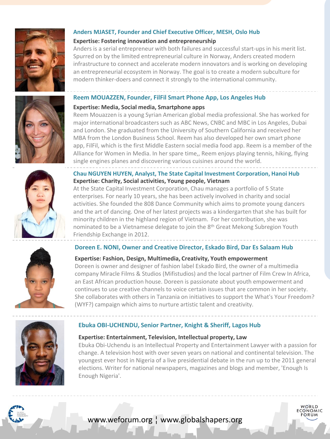

#### **Anders MJASET, Founder and Chief Executive Officer, MESH, Oslo Hub**

#### **Expertise: Fostering innovation and entrepreneurship**

Anders is a serial entrepreneur with both failures and successful start-ups in his merit list. Spurred on by the limited entrepreneurial culture in Norway, Anders created modern infrastructure to connect and accelerate modern innovators and is working on developing an entrepreneurial ecosystem in Norway. The goal is to create a modern subculture for modern thinker-doers and connect it strongly to the international community.

#### **Reem MOUAZZEN, Founder, FilFil Smart Phone App, Los Angeles Hub**



Reem Mouazzen is a young Syrian American global media professional. She has worked for major international broadcasters such as ABC News, CNBC and MBC in Los Angeles, Dubai and London. She graduated from the University of Southern California and received her MBA from the London Business School. Reem has also developed her own smart phone app, FilFil, which is the first Middle Eastern social media food app. Reem is a member of the Alliance for Women in Media. In her spare time,, Reem enjoys playing tennis, hiking, flying single engines planes and discovering various cuisines around the world.

#### **Chau NGUYEN HUYEN, Analyst, The State Capital Investment Corporation, Hanoi Hub Expertise: Charity, Social activities, Young people, Vietnam**

At the State Capital Investment Corporation, Chau manages a portfolio of 5 State enterprises. For nearly 10 years, she has been actively involved in charity and social activities. She founded the 808 Dance Community which aims to promote young dancers and the art of dancing. One of her latest projects was a kindergarten that she has built for minority children in the highland region of Vietnam. For her contribution, she was nominated to be a Vietnamese delegate to join the 8<sup>th</sup> Great Mekong Subregion Youth Friendship Exchange in 2012.

#### **Doreen E. NONI, Owner and Creative Director, Eskado Bird, Dar Es Salaam Hub**

#### **Expertise: Fashion, Design, Multimedia, Creativity, Youth empowerment**

Doreen is owner and designer of fashion label Eskado Bird, the owner of a multimedia company Miracle Films & Studios (Mifistudios) and the local partner of Film Crew In Africa, an East African production house. Doreen is passionate about youth empowerment and continues to use creative channels to voice certain issues that are common in her society. She collaborates with others in Tanzania on initiatives to support the What's Your Freedom? (WYF?) campaign which aims to nurture artistic talent and creativity.



#### **Ebuka OBI-UCHENDU, Senior Partner, Knight & Sheriff, Lagos Hub**

#### **Expertise: Entertainment, Television, Intellectual property, Law**

Ebuka Obi-Uchendu is an Intellectual Property and Entertainment Lawyer with a passion for change. A television host with over seven years on national and continental television. The youngest ever host in Nigeria of a live presidential debate in the run up to the 2011 general elections. Writer for national newspapers, magazines and blogs and member, 'Enough Is Enough Nigeria'.

> WØRLD **FCONOMIC**



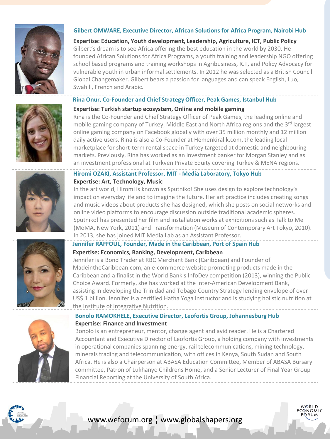

#### **Gilbert OMWARE, Executive Director, African Solutions for Africa Program, Nairobi Hub**

**Expertise: Education, Youth development, Leadership, Agriculture, ICT, Public Policy** Gilbert's dream is to see Africa offering the best education in the world by 2030. He founded African Solutions for Africa Programs, a youth training and leadership NGO offering school based programs and training workshops in Agribusiness, ICT, and Policy Advocacy for vulnerable youth in urban informal settlements. In 2012 he was selected as a British Council Global Changemaker. Gilbert bears a passion for languages and can speak English, Luo, Swahili, French and Arabic.

#### **Rina Onur, Co-Founder and Chief Strategy Officer, Peak Games, Istanbul Hub**



#### **Expertise: Turkish startup ecosystem, Online and mobile gaming**

Rina is the Co-Founder and Chief Strategy Officer of Peak Games, the leading online and mobile gaming company of Turkey, Middle East and North Africa regions and the 3<sup>rd</sup> largest online gaming company on Facebook globally with over 35 million monthly and 12 million daily active users. Rina is also a Co-Founder at Hemenkiralik.com, the leading local marketplace for short-term rental space in Turkey targeted at domestic and neighbouring markets. Previously, Rina has worked as an investment banker for Morgan Stanley and as an investment professional at Turkven Private Equity covering Turkey & MENA regions.

#### **Hiromi OZAKI, Assistant Professor, MIT - Media Laboratory, Tokyo Hub Expertise: Art, Technology, Music**

In the art world, Hiromi is known as Sputniko! She uses design to explore technology's impact on everyday life and to imagine the future. Her art practice includes creating songs and music videos about products she has designed, which she posts on social networks and online video platforms to encourage discussion outside traditional academic spheres. Sputniko! has presented her film and installation works at exhibitions such as Talk to Me (MoMA, New York, 2011) and Transformation (Museum of Contemporary Art Tokyo, 2010). In 2013, she has joined MIT Media Lab as an Assistant Professor.

# **Jennifer RAFFOUL, Founder, Made in the Caribbean, Port of Spain Hub**

## **Expertise: Economics, Banking, Development, Caribbean**

Jennifer is a Bond Trader at RBC Merchant Bank (Caribbean) and Founder of MadeintheCaribbean.com, an e-commerce website promoting products made in the Caribbean and a finalist in the World Bank's InfoDev competition (2013), winning the Public Choice Award. Formerly, she has worked at the Inter-American Development Bank, assisting in developing the Trinidad and Tobago Country Strategy lending envelope of over US\$ 1 billion. Jennifer is a certified Hatha Yoga instructor and is studying holistic nutrition at the Institute of Integrative Nutrition.

### **Bonolo RAMOKHELE, Executive Director, Leofortis Group, Johannesburg Hub Expertise: Finance and Investment**

Bonolo is an entrepreneur, mentor, change agent and avid reader. He is a Chartered Accountant and Executive Director of Leofortis Group, a holding company with investments in operational companies spanning energy, rail telecommunications, mining technology, minerals trading and telecommunication, with offices in Kenya, South Sudan and South Africa. He is also a Chairperson at ABASA Education Committee, Member of ABASA Bursary committee, Patron of Lukhanyo Childrens Home, and a Senior Lecturer of Final Year Group Financial Reporting at the University of South Africa.

**FCONOMIC** 



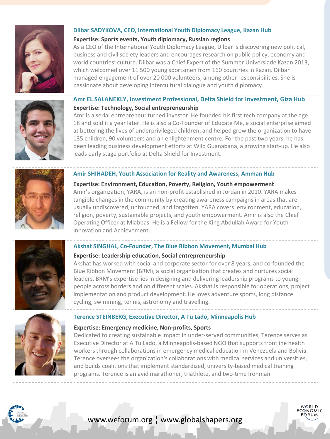

#### **Dilbar SADYKOVA, CEO, International Youth Diplomacy League, Kazan Hub**

#### **Expertise: Sports events, Youth diplomacy, Russian regions**

As a CEO of the International Youth Diplomacy League, Dilbar is discovering new political, business and civil society leaders and encourages research on public policy, economy and world countries' culture. Dilbar was a Chief Expert of the Summer Universiade Kazan 2013, which welcomed over 11 500 young sportsmen from 160 countries in Kazan. Dilbar managed engagement of over 20 000 volunteers, among other responsibilities. She is passionate about developing intercultural dialogue and youth diplomacy.



# **Amr EL SALANEKLY, Investment Professional, Delta Shield for Investment, Giza Hub Expertise: Technology, Social entrepreneurship**

Amr is a serial entrepreneur turned investor. He founded his first tech company at the age 18 and sold it a year later. He is also a Co-Founder of Educate Me, a social enterprise aimed at bettering the lives of underprivileged children, and helped grow the organization to have 135 children, 90 volunteers and an enlightenment centre. For the past two years, he has been leading business development efforts at Wild Guanabana, a growing start-up. He also leads early stage portfolio at Delta Shield for Investment.



#### **Amir SHIHADEH, Youth Association for Reality and Awareness, Amman Hub**

**Expertise: Environment, Education, Poverty, Religion, Youth empowerment**  Amir's organization, YARA, is an non-profit established in Jordan in 2010. YARA makes tangible changes in the community by creating awareness campaigns in areas that are usually undiscovered, untouched, and forgotten. YARA covers environment, education, religion, poverty, sustainable projects, and youth empowerment. Amir is also the Chief Operating Officer at Mlabbas. He is a Fellow for the King Abdullah Award for Youth Innovation and Achievement.



#### **Akshat SINGHAL, Co-Founder, The Blue Ribbon Movement, Mumbai Hub**

#### **Expertise: Leadership education, Social entrepreneurship**

Akshat has worked with social and corporate sector for over 8 years, and co-founded the Blue Ribbon Movement (BRM), a social organization that creates and nurtures social leaders. BRM's expertise lies in designing and delivering leadership programs to young people across borders and on different scales. Akshat is responsible for operations, project implementation and product development. He loves adventure sports, long distance cycling, swimming, tennis, astronomy and travelling.

#### **Terence STEINBERG, Executive Director, A Tu Lado, Minneapolis Hub**

#### **Expertise: Emergency medicine, Non-profits, Sports**

Dedicated to creating sustainable impact in under-served communities, Terence serves as Executive Director at A Tu Lado, a Minneapolis-based NGO that supports frontline health workers through collaborations in emergency medical education in Venezuela and Bolivia. Terence oversees the organization's collaborations with medical services and universities, and builds coalitions that implement standardized, university-based medical training programs. Terence is an avid marathoner, triathlete, and two-time Ironman

**FCONOMIC**